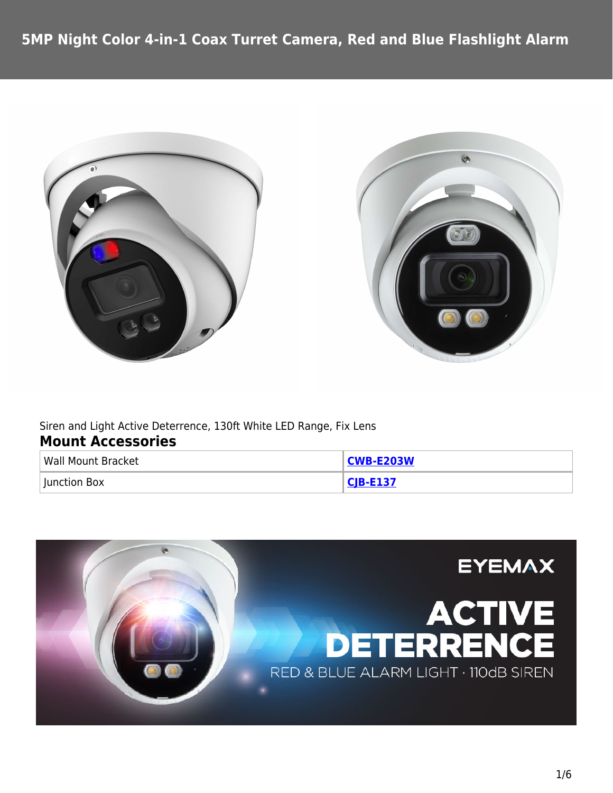



Siren and Light Active Deterrence, 130ft White LED Range, Fix Lens **Mount Accessories**

| <b>Wall Mount Bracket</b> | <b>CWB-E203W</b> |
|---------------------------|------------------|
| Junction Box              | $CIR$ . $F137$   |

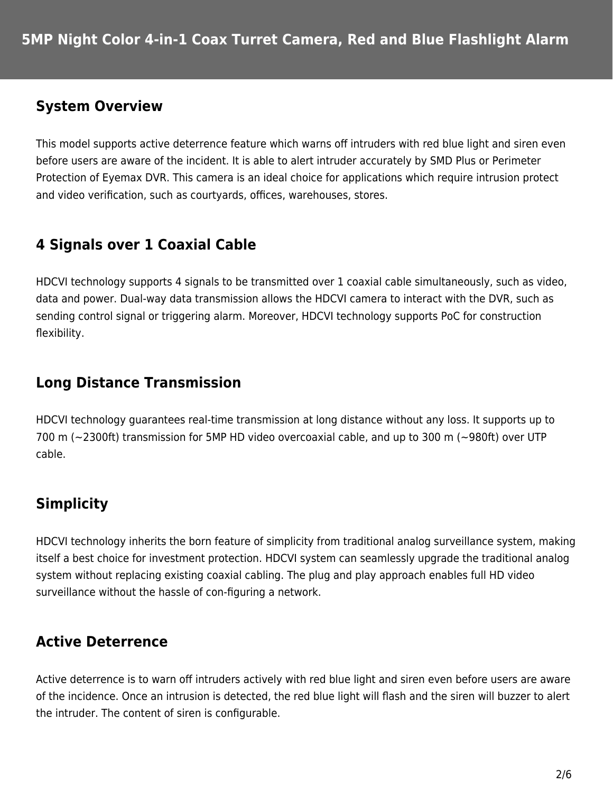#### **System Overview**

This model supports active deterrence feature which warns off intruders with red blue light and siren even before users are aware of the incident. It is able to alert intruder accurately by SMD Plus or Perimeter Protection of Eyemax DVR. This camera is an ideal choice for applications which require intrusion protect and video verification, such as courtyards, offices, warehouses, stores.

# **4 Signals over 1 Coaxial Cable**

HDCVI technology supports 4 signals to be transmitted over 1 coaxial cable simultaneously, such as video, data and power. Dual-way data transmission allows the HDCVI camera to interact with the DVR, such as sending control signal or triggering alarm. Moreover, HDCVI technology supports PoC for construction flexibility.

## **Long Distance Transmission**

HDCVI technology guarantees real-time transmission at long distance without any loss. It supports up to 700 m (~2300ft) transmission for 5MP HD video overcoaxial cable, and up to 300 m (~980ft) over UTP cable.

# **Simplicity**

HDCVI technology inherits the born feature of simplicity from traditional analog surveillance system, making itself a best choice for investment protection. HDCVI system can seamlessly upgrade the traditional analog system without replacing existing coaxial cabling. The plug and play approach enables full HD video surveillance without the hassle of con-figuring a network.

# **Active Deterrence**

Active deterrence is to warn off intruders actively with red blue light and siren even before users are aware of the incidence. Once an intrusion is detected, the red blue light will flash and the siren will buzzer to alert the intruder. The content of siren is configurable.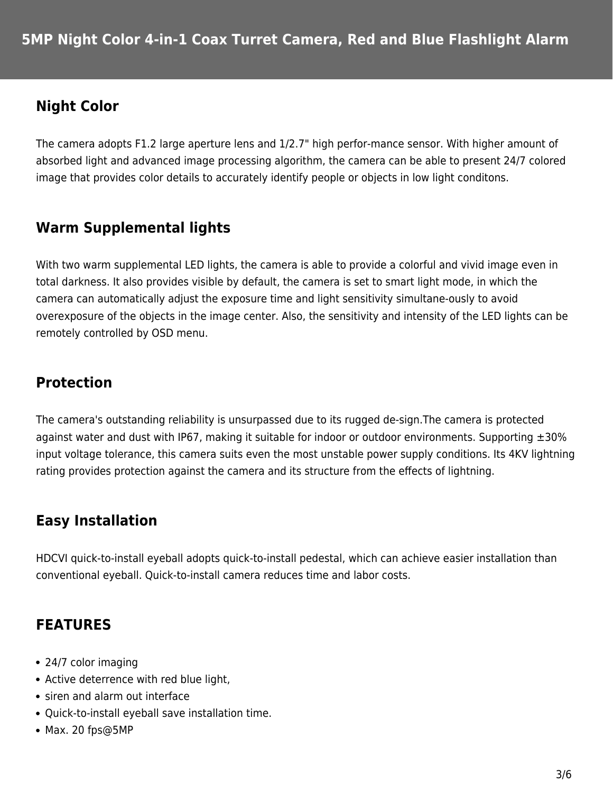## **Night Color**

The camera adopts F1.2 large aperture lens and 1/2.7" high perfor-mance sensor. With higher amount of absorbed light and advanced image processing algorithm, the camera can be able to present 24/7 colored image that provides color details to accurately identify people or objects in low light conditons.

## **Warm Supplemental lights**

With two warm supplemental LED lights, the camera is able to provide a colorful and vivid image even in total darkness. It also provides visible by default, the camera is set to smart light mode, in which the camera can automatically adjust the exposure time and light sensitivity simultane-ously to avoid overexposure of the objects in the image center. Also, the sensitivity and intensity of the LED lights can be remotely controlled by OSD menu.

## **Protection**

The camera's outstanding reliability is unsurpassed due to its rugged de-sign.The camera is protected against water and dust with IP67, making it suitable for indoor or outdoor environments. Supporting  $\pm 30\%$ input voltage tolerance, this camera suits even the most unstable power supply conditions. Its 4KV lightning rating provides protection against the camera and its structure from the effects of lightning.

## **Easy Installation**

HDCVI quick-to-install eyeball adopts quick-to-install pedestal, which can achieve easier installation than conventional eyeball. Quick-to-install camera reduces time and labor costs.

## **FEATURES**

- 24/7 color imaging
- Active deterrence with red blue light,
- siren and alarm out interface
- Quick-to-install eyeball save installation time.
- Max. 20 fps@5MP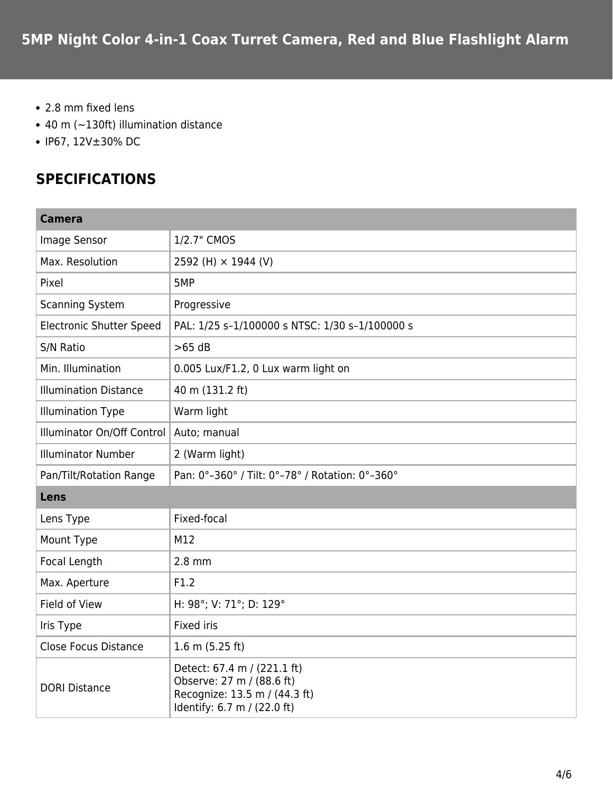- 2.8 mm fixed lens
- 40 m (~130ft) illumination distance
- IP67, 12V±30% DC

## **SPECIFICATIONS**

| <b>Camera</b>                   |                                                                                                                          |
|---------------------------------|--------------------------------------------------------------------------------------------------------------------------|
| Image Sensor                    | 1/2.7" CMOS                                                                                                              |
| Max. Resolution                 | 2592 (H) × 1944 (V)                                                                                                      |
| Pixel                           | 5MP                                                                                                                      |
| <b>Scanning System</b>          | Progressive                                                                                                              |
| <b>Electronic Shutter Speed</b> | PAL: 1/25 s-1/100000 s NTSC: 1/30 s-1/100000 s                                                                           |
| S/N Ratio                       | $>65$ dB                                                                                                                 |
| Min. Illumination               | 0.005 Lux/F1.2, 0 Lux warm light on                                                                                      |
| <b>Illumination Distance</b>    | 40 m (131.2 ft)                                                                                                          |
| <b>Illumination Type</b>        | Warm light                                                                                                               |
| Illuminator On/Off Control      | Auto; manual                                                                                                             |
| <b>Illuminator Number</b>       | 2 (Warm light)                                                                                                           |
| Pan/Tilt/Rotation Range         | Pan: 0°-360° / Tilt: 0°-78° / Rotation: 0°-360°                                                                          |
| Lens                            |                                                                                                                          |
| Lens Type                       | Fixed-focal                                                                                                              |
| Mount Type                      | M12                                                                                                                      |
| Focal Length                    | $2.8$ mm                                                                                                                 |
| Max. Aperture                   | F1.2                                                                                                                     |
| Field of View                   | H: 98°; V: 71°; D: 129°                                                                                                  |
| Iris Type                       | Fixed iris                                                                                                               |
| <b>Close Focus Distance</b>     | 1.6 m $(5.25 ft)$                                                                                                        |
| <b>DORI Distance</b>            | Detect: 67.4 m / (221.1 ft)<br>Observe: 27 m / (88.6 ft)<br>Recognize: 13.5 m / (44.3 ft)<br>Identify: 6.7 m / (22.0 ft) |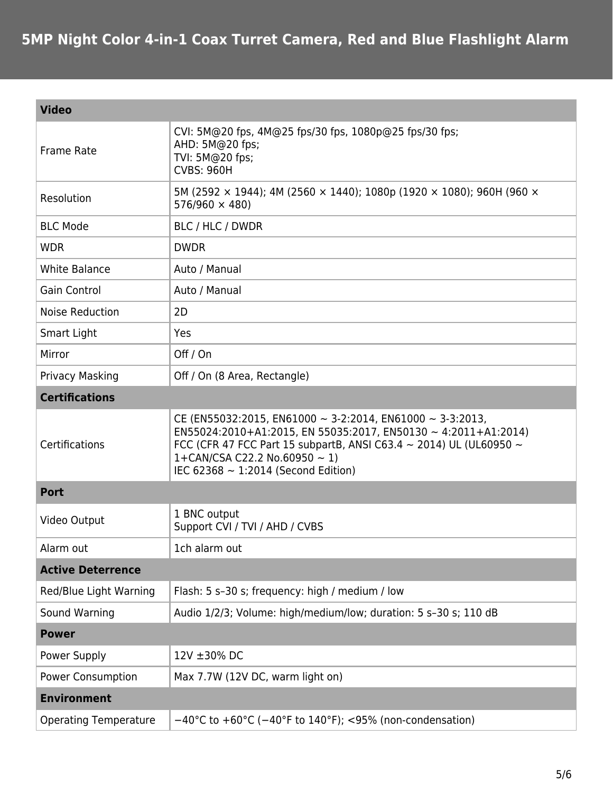| <b>Video</b>                 |                                                                                                                                                                                                                                                                                                         |  |
|------------------------------|---------------------------------------------------------------------------------------------------------------------------------------------------------------------------------------------------------------------------------------------------------------------------------------------------------|--|
| <b>Frame Rate</b>            | CVI: 5M@20 fps, 4M@25 fps/30 fps, 1080p@25 fps/30 fps;<br>AHD: 5M@20 fps;<br>TVI: 5M@20 fps;<br><b>CVBS: 960H</b>                                                                                                                                                                                       |  |
| Resolution                   | 5M (2592 $\times$ 1944); 4M (2560 $\times$ 1440); 1080p (1920 $\times$ 1080); 960H (960 $\times$<br>$576/960 \times 480$                                                                                                                                                                                |  |
| <b>BLC Mode</b>              | BLC / HLC / DWDR                                                                                                                                                                                                                                                                                        |  |
| <b>WDR</b>                   | <b>DWDR</b>                                                                                                                                                                                                                                                                                             |  |
| <b>White Balance</b>         | Auto / Manual                                                                                                                                                                                                                                                                                           |  |
| <b>Gain Control</b>          | Auto / Manual                                                                                                                                                                                                                                                                                           |  |
| <b>Noise Reduction</b>       | 2D                                                                                                                                                                                                                                                                                                      |  |
| Smart Light                  | Yes                                                                                                                                                                                                                                                                                                     |  |
| Mirror                       | Off / On                                                                                                                                                                                                                                                                                                |  |
| Privacy Masking              | Off / On (8 Area, Rectangle)                                                                                                                                                                                                                                                                            |  |
| <b>Certifications</b>        |                                                                                                                                                                                                                                                                                                         |  |
| Certifications               | CE (EN55032:2015, EN61000 $\sim$ 3-2:2014, EN61000 $\sim$ 3-3:2013,<br>EN55024:2010+A1:2015, EN 55035:2017, EN50130 ~ 4:2011+A1:2014)<br>FCC (CFR 47 FCC Part 15 subpartB, ANSI C63.4 $\sim$ 2014) UL (UL60950 $\sim$<br>1+CAN/CSA C22.2 No.60950 $\sim$ 1)<br>IEC 62368 $\sim$ 1:2014 (Second Edition) |  |
| <b>Port</b>                  |                                                                                                                                                                                                                                                                                                         |  |
| Video Output                 | 1 BNC output<br>Support CVI / TVI / AHD / CVBS                                                                                                                                                                                                                                                          |  |
| Alarm out                    | 1ch alarm out                                                                                                                                                                                                                                                                                           |  |
| <b>Active Deterrence</b>     |                                                                                                                                                                                                                                                                                                         |  |
| Red/Blue Light Warning       | Flash: 5 s-30 s; frequency: high / medium / low                                                                                                                                                                                                                                                         |  |
| Sound Warning                | Audio 1/2/3; Volume: high/medium/low; duration: 5 s-30 s; 110 dB                                                                                                                                                                                                                                        |  |
| <b>Power</b>                 |                                                                                                                                                                                                                                                                                                         |  |
| Power Supply                 | 12V ±30% DC                                                                                                                                                                                                                                                                                             |  |
| <b>Power Consumption</b>     | Max 7.7W (12V DC, warm light on)                                                                                                                                                                                                                                                                        |  |
| <b>Environment</b>           |                                                                                                                                                                                                                                                                                                         |  |
| <b>Operating Temperature</b> | $-40^{\circ}$ C to +60°C ( $-40^{\circ}$ F to 140°F); <95% (non-condensation)                                                                                                                                                                                                                           |  |